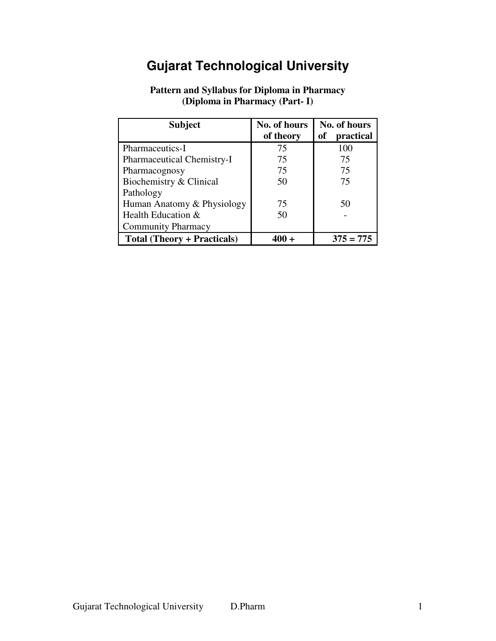# **Gujarat Technological University**

| <b>Subject</b>                     | No. of hours | No. of hours    |
|------------------------------------|--------------|-----------------|
|                                    | of theory    | of<br>practical |
| Pharmaceutics-I                    | 75           | 100             |
| Pharmaceutical Chemistry-I         | 75           | 75              |
| Pharmacognosy                      | 75           | 75              |
| Biochemistry & Clinical            | 50           | 75              |
| Pathology                          |              |                 |
| Human Anatomy & Physiology         | 75           | 50              |
| Health Education &                 | 50           |                 |
| <b>Community Pharmacy</b>          |              |                 |
| <b>Total (Theory + Practicals)</b> |              | $375 = 775$     |

# **Pattern and Syllabus for Diploma in Pharmacy (Diploma in Pharmacy (Part- I)**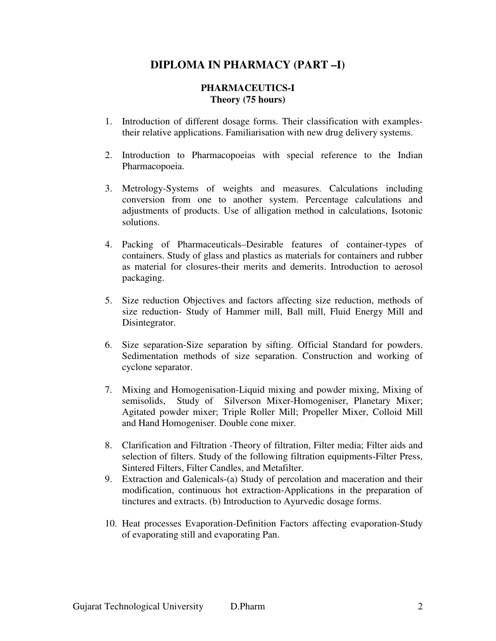# **DIPLOMA IN PHARMACY (PART –I)**

#### **PHARMACEUTICS-I Theory (75 hours)**

- 1. Introduction of different dosage forms. Their classification with examplestheir relative applications. Familiarisation with new drug delivery systems.
- 2. Introduction to Pharmacopoeias with special reference to the Indian Pharmacopoeia.
- 3. Metrology-Systems of weights and measures. Calculations including conversion from one to another system. Percentage calculations and adjustments of products. Use of alligation method in calculations, Isotonic solutions.
- 4. Packing of Pharmaceuticals–Desirable features of container-types of containers. Study of glass and plastics as materials for containers and rubber as material for closures-their merits and demerits. Introduction to aerosol packaging.
- 5. Size reduction Objectives and factors affecting size reduction, methods of size reduction- Study of Hammer mill, Ball mill, Fluid Energy Mill and Disintegrator.
- 6. Size separation-Size separation by sifting. Official Standard for powders. Sedimentation methods of size separation. Construction and working of cyclone separator.
- 7. Mixing and Homogenisation-Liquid mixing and powder mixing, Mixing of semisolids, Study of Silverson Mixer-Homogeniser, Planetary Mixer; Agitated powder mixer; Triple Roller Mill; Propeller Mixer, Colloid Mill and Hand Homogeniser. Double cone mixer.
- 8. Clarification and Filtration -Theory of filtration, Filter media; Filter aids and selection of filters. Study of the following filtration equipments-Filter Press, Sintered Filters, Filter Candles, and Metafilter.
- 9. Extraction and Galenicals-(a) Study of percolation and maceration and their modification, continuous hot extraction-Applications in the preparation of tinctures and extracts. (b) Introduction to Ayurvedic dosage forms.
- 10. Heat processes Evaporation-Definition Factors affecting evaporation-Study of evaporating still and evaporating Pan.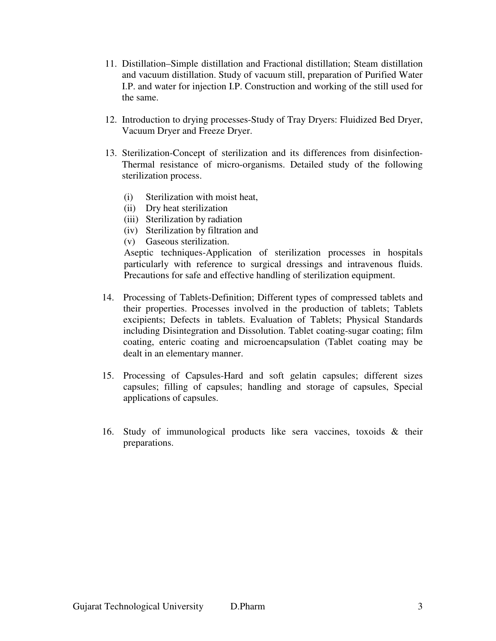- 11. Distillation–Simple distillation and Fractional distillation; Steam distillation and vacuum distillation. Study of vacuum still, preparation of Purified Water I.P. and water for injection I.P. Construction and working of the still used for the same.
- 12. Introduction to drying processes-Study of Tray Dryers: Fluidized Bed Dryer, Vacuum Dryer and Freeze Dryer.
- 13. Sterilization-Concept of sterilization and its differences from disinfection-Thermal resistance of micro-organisms. Detailed study of the following sterilization process.
	- (i) Sterilization with moist heat,
	- (ii) Dry heat sterilization
	- (iii) Sterilization by radiation
	- (iv) Sterilization by filtration and
	- (v) Gaseous sterilization.

Aseptic techniques-Application of sterilization processes in hospitals particularly with reference to surgical dressings and intravenous fluids. Precautions for safe and effective handling of sterilization equipment.

- 14. Processing of Tablets-Definition; Different types of compressed tablets and their properties. Processes involved in the production of tablets; Tablets excipients; Defects in tablets. Evaluation of Tablets; Physical Standards including Disintegration and Dissolution. Tablet coating-sugar coating; film coating, enteric coating and microencapsulation (Tablet coating may be dealt in an elementary manner.
- 15. Processing of Capsules-Hard and soft gelatin capsules; different sizes capsules; filling of capsules; handling and storage of capsules, Special applications of capsules.
- 16. Study of immunological products like sera vaccines, toxoids & their preparations.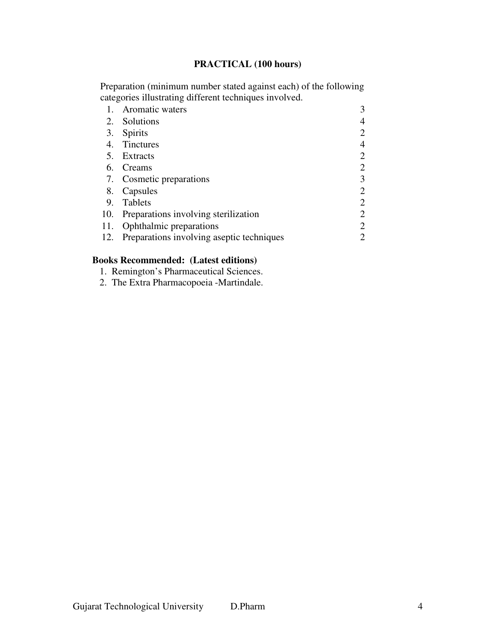# **PRACTICAL (100 hours)**

Preparation (minimum number stated against each) of the following categories illustrating different techniques involved.

|    | Aromatic waters                               |   |
|----|-----------------------------------------------|---|
|    | 2. Solutions                                  |   |
|    | 3. Spirits                                    |   |
| 4. | Tinctures                                     |   |
|    | 5. Extracts                                   | 2 |
|    | 6. Creams                                     | 2 |
|    | 7. Cosmetic preparations                      | 3 |
|    | 8. Capsules                                   | 2 |
| 9. | <b>Tablets</b>                                | 2 |
|    | 10. Preparations involving sterilization      | 2 |
|    | 11. Ophthalmic preparations                   | 2 |
|    | 12. Preparations involving aseptic techniques |   |

# **Books Recommended: (Latest editions)**

1. Remington's Pharmaceutical Sciences.

2. The Extra Pharmacopoeia -Martindale.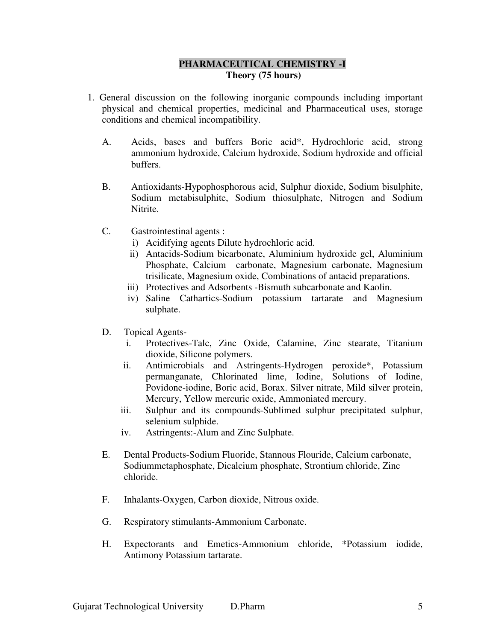## **PHARMACEUTICAL CHEMISTRY -I Theory (75 hours)**

- 1. General discussion on the following inorganic compounds including important physical and chemical properties, medicinal and Pharmaceutical uses, storage conditions and chemical incompatibility.
	- A. Acids, bases and buffers Boric acid\*, Hydrochloric acid, strong ammonium hydroxide, Calcium hydroxide, Sodium hydroxide and official buffers.
	- B. Antioxidants-Hypophosphorous acid, Sulphur dioxide, Sodium bisulphite, Sodium metabisulphite, Sodium thiosulphate, Nitrogen and Sodium Nitrite.
	- C. Gastrointestinal agents :
		- i) Acidifying agents Dilute hydrochloric acid.
		- ii) Antacids-Sodium bicarbonate, Aluminium hydroxide gel, Aluminium Phosphate, Calcium carbonate, Magnesium carbonate, Magnesium trisilicate, Magnesium oxide, Combinations of antacid preparations.
		- iii) Protectives and Adsorbents -Bismuth subcarbonate and Kaolin.
		- iv) Saline Cathartics-Sodium potassium tartarate and Magnesium sulphate.
	- D. Topical Agents
		- i. Protectives-Talc, Zinc Oxide, Calamine, Zinc stearate, Titanium dioxide, Silicone polymers.
		- ii. Antimicrobials and Astringents-Hydrogen peroxide\*, Potassium permanganate, Chlorinated lime, Iodine, Solutions of Iodine, Povidone-iodine, Boric acid, Borax. Silver nitrate, Mild silver protein, Mercury, Yellow mercuric oxide, Ammoniated mercury.
		- iii. Sulphur and its compounds-Sublimed sulphur precipitated sulphur, selenium sulphide.
		- iv. Astringents:-Alum and Zinc Sulphate.
	- E. Dental Products-Sodium Fluoride, Stannous Flouride, Calcium carbonate, Sodiummetaphosphate, Dicalcium phosphate, Strontium chloride, Zinc chloride.
	- F. Inhalants-Oxygen, Carbon dioxide, Nitrous oxide.
	- G. Respiratory stimulants-Ammonium Carbonate.
	- H. Expectorants and Emetics-Ammonium chloride, \*Potassium iodide, Antimony Potassium tartarate.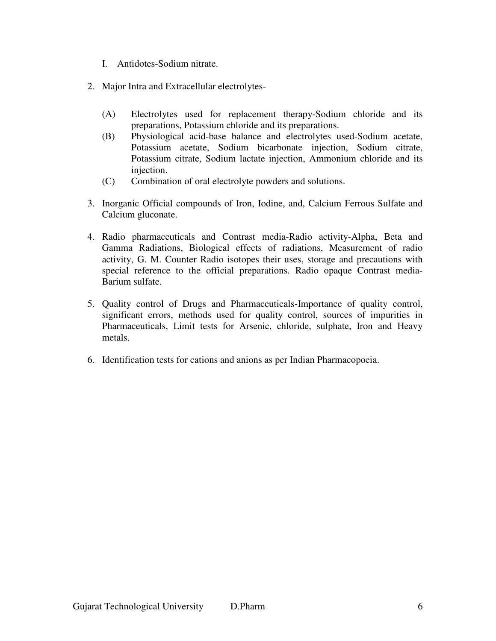- I. Antidotes-Sodium nitrate.
- 2. Major Intra and Extracellular electrolytes-
	- (A) Electrolytes used for replacement therapy-Sodium chloride and its preparations, Potassium chloride and its preparations.
	- (B) Physiological acid-base balance and electrolytes used-Sodium acetate, Potassium acetate, Sodium bicarbonate injection, Sodium citrate, Potassium citrate, Sodium lactate injection, Ammonium chloride and its injection.
	- (C) Combination of oral electrolyte powders and solutions.
- 3. Inorganic Official compounds of Iron, Iodine, and, Calcium Ferrous Sulfate and Calcium gluconate.
- 4. Radio pharmaceuticals and Contrast media-Radio activity-Alpha, Beta and Gamma Radiations, Biological effects of radiations, Measurement of radio activity, G. M. Counter Radio isotopes their uses, storage and precautions with special reference to the official preparations. Radio opaque Contrast media-Barium sulfate.
- 5. Quality control of Drugs and Pharmaceuticals-Importance of quality control, significant errors, methods used for quality control, sources of impurities in Pharmaceuticals, Limit tests for Arsenic, chloride, sulphate, Iron and Heavy metals.
- 6. Identification tests for cations and anions as per Indian Pharmacopoeia.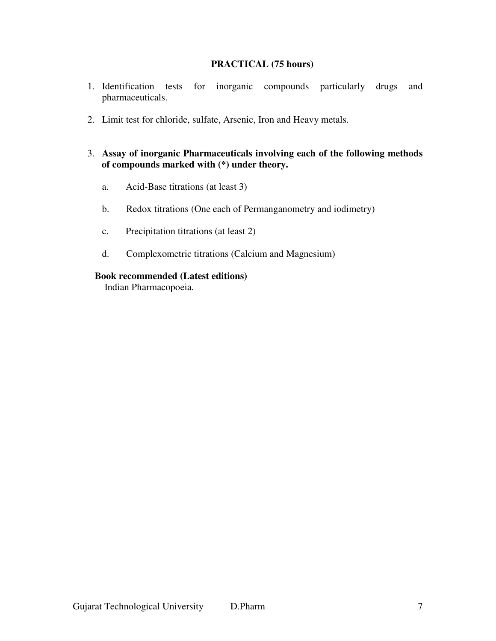### **PRACTICAL (75 hours)**

- 1. Identification tests for inorganic compounds particularly drugs and pharmaceuticals.
- 2. Limit test for chloride, sulfate, Arsenic, Iron and Heavy metals.

### 3. **Assay of inorganic Pharmaceuticals involving each of the following methods of compounds marked with (\*) under theory.**

- a. Acid-Base titrations (at least 3)
- b. Redox titrations (One each of Permanganometry and iodimetry)
- c. Precipitation titrations (at least 2)
- d. Complexometric titrations (Calcium and Magnesium)

#### **Book recommended (Latest editions)**

Indian Pharmacopoeia.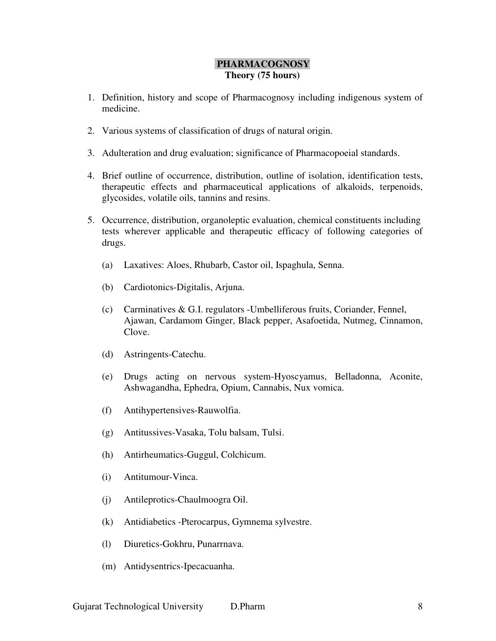## **PHARMACOGNOSY Theory (75 hours)**

- 1. Definition, history and scope of Pharmacognosy including indigenous system of medicine.
- 2. Various systems of classification of drugs of natural origin.
- 3. Adulteration and drug evaluation; significance of Pharmacopoeial standards.
- 4. Brief outline of occurrence, distribution, outline of isolation, identification tests, therapeutic effects and pharmaceutical applications of alkaloids, terpenoids, glycosides, volatile oils, tannins and resins.
- 5. Occurrence, distribution, organoleptic evaluation, chemical constituents including tests wherever applicable and therapeutic efficacy of following categories of drugs.
	- (a) Laxatives: Aloes, Rhubarb, Castor oil, Ispaghula, Senna.
	- (b) Cardiotonics-Digitalis, Arjuna.
	- (c) Carminatives & G.I. regulators -Umbelliferous fruits, Coriander, Fennel, Ajawan, Cardamom Ginger, Black pepper, Asafoetida, Nutmeg, Cinnamon, Clove.
	- (d) Astringents-Catechu.
	- (e) Drugs acting on nervous system-Hyoscyamus, Belladonna, Aconite, Ashwagandha, Ephedra, Opium, Cannabis, Nux vomica.
	- (f) Antihypertensives-Rauwolfia.
	- (g) Antitussives-Vasaka, Tolu balsam, Tulsi.
	- (h) Antirheumatics-Guggul, Colchicum.
	- (i) Antitumour-Vinca.
	- (j) Antileprotics-Chaulmoogra Oil.
	- (k) Antidiabetics -Pterocarpus, Gymnema sylvestre.
	- (l) Diuretics-Gokhru, Punarrnava.
	- (m) Antidysentrics-Ipecacuanha.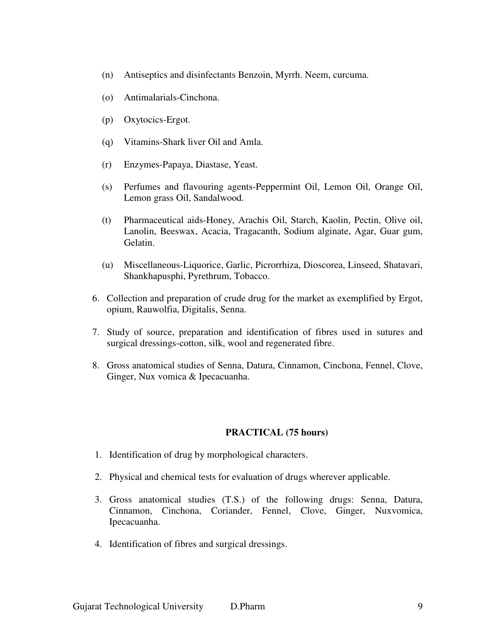- (n) Antiseptics and disinfectants Benzoin, Myrrh. Neem, curcuma.
- (o) Antimalarials-Cinchona.
- (p) Oxytocics-Ergot.
- (q) Vitamins-Shark liver Oil and Amla.
- (r) Enzymes-Papaya, Diastase, Yeast.
- (s) Perfumes and flavouring agents-Peppermint Oil, Lemon Oil, Orange Oil, Lemon grass Oil, Sandalwood.
- (t) Pharmaceutical aids-Honey, Arachis Oil, Starch, Kaolin, Pectin, Olive oil, Lanolin, Beeswax, Acacia, Tragacanth, Sodium alginate, Agar, Guar gum, Gelatin.
- (u) Miscellaneous-Liquorice, Garlic, Picrorrhiza, Dioscorea, Linseed, Shatavari, Shankhapusphi, Pyrethrum, Tobacco.
- 6. Collection and preparation of crude drug for the market as exemplified by Ergot, opium, Rauwolfia, Digitalis, Senna.
- 7. Study of source, preparation and identification of fibres used in sutures and surgical dressings-cotton, silk, wool and regenerated fibre.
- 8. Gross anatomical studies of Senna, Datura, Cinnamon, Cinchona, Fennel, Clove, Ginger, Nux vomica & Ipecacuanha.

#### **PRACTICAL (75 hours)**

- 1. Identification of drug by morphological characters.
- 2. Physical and chemical tests for evaluation of drugs wherever applicable.
- 3. Gross anatomical studies (T.S.) of the following drugs: Senna, Datura, Cinnamon, Cinchona, Coriander, Fennel, Clove, Ginger, Nuxvomica, Ipecacuanha.
- 4. Identification of fibres and surgical dressings.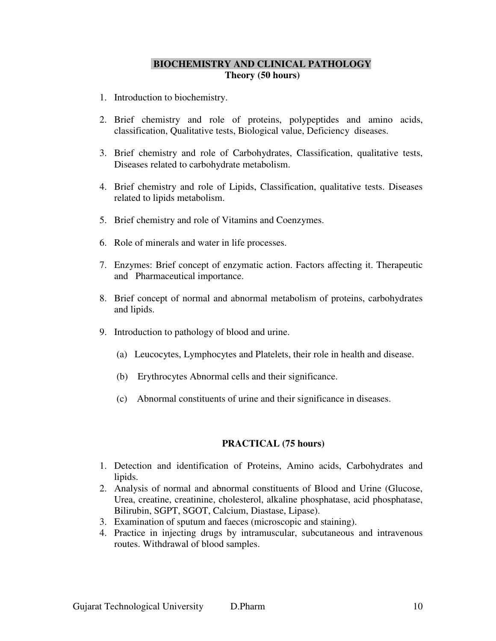## **BIOCHEMISTRY AND CLINICAL PATHOLOGY Theory (50 hours)**

- 1. Introduction to biochemistry.
- 2. Brief chemistry and role of proteins, polypeptides and amino acids, classification, Qualitative tests, Biological value, Deficiency diseases.
- 3. Brief chemistry and role of Carbohydrates, Classification, qualitative tests, Diseases related to carbohydrate metabolism.
- 4. Brief chemistry and role of Lipids, Classification, qualitative tests. Diseases related to lipids metabolism.
- 5. Brief chemistry and role of Vitamins and Coenzymes.
- 6. Role of minerals and water in life processes.
- 7. Enzymes: Brief concept of enzymatic action. Factors affecting it. Therapeutic and Pharmaceutical importance.
- 8. Brief concept of normal and abnormal metabolism of proteins, carbohydrates and lipids.
- 9. Introduction to pathology of blood and urine.
	- (a) Leucocytes, Lymphocytes and Platelets, their role in health and disease.
	- (b) Erythrocytes Abnormal cells and their significance.
	- (c) Abnormal constituents of urine and their significance in diseases.

#### **PRACTICAL (75 hours)**

- 1. Detection and identification of Proteins, Amino acids, Carbohydrates and lipids.
- 2. Analysis of normal and abnormal constituents of Blood and Urine (Glucose, Urea, creatine, creatinine, cholesterol, alkaline phosphatase, acid phosphatase, Bilirubin, SGPT, SGOT, Calcium, Diastase, Lipase).
- 3. Examination of sputum and faeces (microscopic and staining).
- 4. Practice in injecting drugs by intramuscular, subcutaneous and intravenous routes. Withdrawal of blood samples.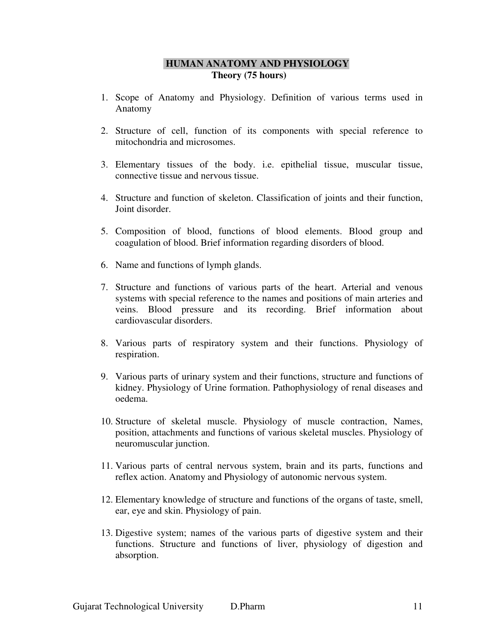# **HUMAN ANATOMY AND PHYSIOLOGY Theory (75 hours)**

- 1. Scope of Anatomy and Physiology. Definition of various terms used in Anatomy
- 2. Structure of cell, function of its components with special reference to mitochondria and microsomes.
- 3. Elementary tissues of the body. i.e. epithelial tissue, muscular tissue, connective tissue and nervous tissue.
- 4. Structure and function of skeleton. Classification of joints and their function, Joint disorder.
- 5. Composition of blood, functions of blood elements. Blood group and coagulation of blood. Brief information regarding disorders of blood.
- 6. Name and functions of lymph glands.
- 7. Structure and functions of various parts of the heart. Arterial and venous systems with special reference to the names and positions of main arteries and veins. Blood pressure and its recording. Brief information about cardiovascular disorders.
- 8. Various parts of respiratory system and their functions. Physiology of respiration.
- 9. Various parts of urinary system and their functions, structure and functions of kidney. Physiology of Urine formation. Pathophysiology of renal diseases and oedema.
- 10. Structure of skeletal muscle. Physiology of muscle contraction, Names, position, attachments and functions of various skeletal muscles. Physiology of neuromuscular junction.
- 11. Various parts of central nervous system, brain and its parts, functions and reflex action. Anatomy and Physiology of autonomic nervous system.
- 12. Elementary knowledge of structure and functions of the organs of taste, smell, ear, eye and skin. Physiology of pain.
- 13. Digestive system; names of the various parts of digestive system and their functions. Structure and functions of liver, physiology of digestion and absorption.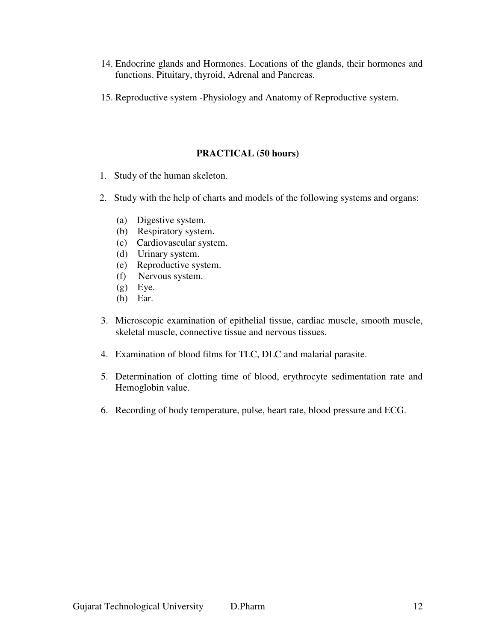- 14. Endocrine glands and Hormones. Locations of the glands, their hormones and functions. Pituitary, thyroid, Adrenal and Pancreas.
- 15. Reproductive system -Physiology and Anatomy of Reproductive system.

# **PRACTICAL (50 hours)**

- 1. Study of the human skeleton.
- 2. Study with the help of charts and models of the following systems and organs:
	- (a) Digestive system.
	- (b) Respiratory system.
	- (c) Cardiovascular system.
	- (d) Urinary system.
	- (e) Reproductive system.
	- (f) Nervous system.
	- (g) Eye.
	- (h) Ear.
- 3. Microscopic examination of epithelial tissue, cardiac muscle, smooth muscle, skeletal muscle, connective tissue and nervous tissues.
- 4. Examination of blood films for TLC, DLC and malarial parasite.
- 5. Determination of clotting time of blood, erythrocyte sedimentation rate and Hemoglobin value.
- 6. Recording of body temperature, pulse, heart rate, blood pressure and ECG.